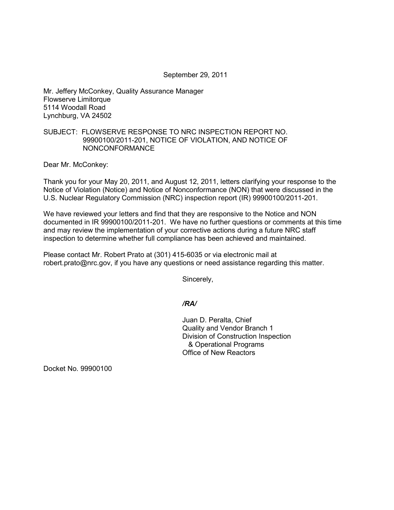#### September 29, 2011

Mr. Jeffery McConkey, Quality Assurance Manager Flowserve Limitorque 5114 Woodall Road Lynchburg, VA 24502

# SUBJECT: FLOWSERVE RESPONSE TO NRC INSPECTION REPORT NO. 99900100/2011-201, NOTICE OF VIOLATION, AND NOTICE OF NONCONFORMANCE

Dear Mr. McConkey:

Thank you for your May 20, 2011, and August 12, 2011, letters clarifying your response to the Notice of Violation (Notice) and Notice of Nonconformance (NON) that were discussed in the U.S. Nuclear Regulatory Commission (NRC) inspection report (IR) 99900100/2011-201.

We have reviewed your letters and find that they are responsive to the Notice and NON documented in IR 99900100/2011-201. We have no further questions or comments at this time and may review the implementation of your corrective actions during a future NRC staff inspection to determine whether full compliance has been achieved and maintained.

Please contact Mr. Robert Prato at (301) 415-6035 or via electronic mail at robert.prato@nrc.gov, if you have any questions or need assistance regarding this matter.

Sincerely,

### */RA/*

Juan D. Peralta, Chief Quality and Vendor Branch 1 Division of Construction Inspection & Operational Programs Office of New Reactors

Docket No. 99900100